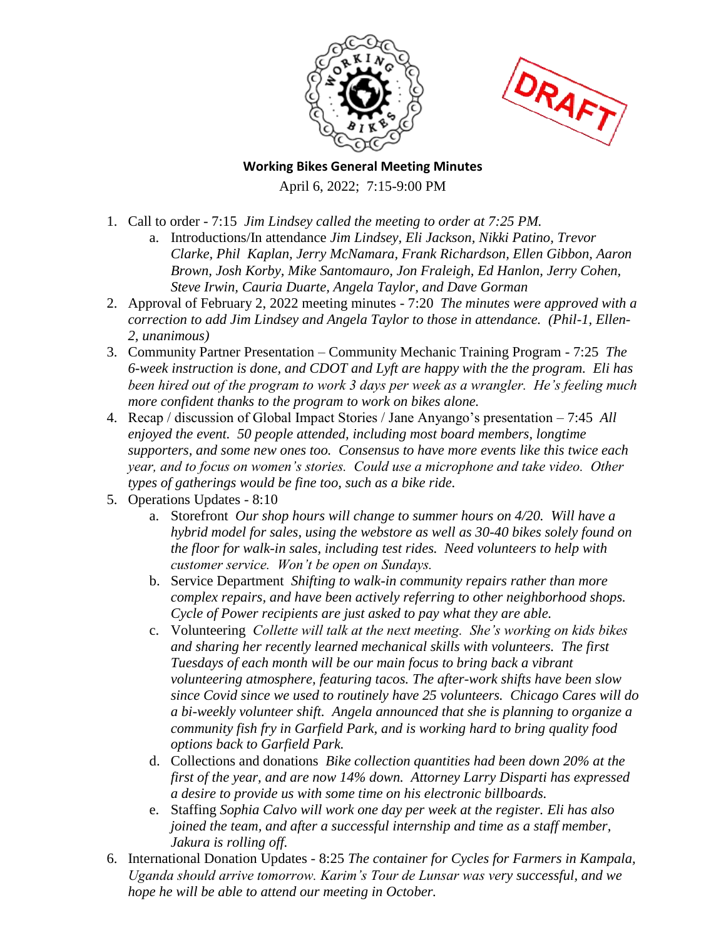



**Working Bikes General Meeting Minutes**  April 6, 2022; 7:15-9:00 PM

- 1. Call to order 7:15 *Jim Lindsey called the meeting to order at 7:25 PM.*
	- a. Introductions/In attendance *Jim Lindsey, Eli Jackson, Nikki Patino, Trevor Clarke, Phil Kaplan, Jerry McNamara, Frank Richardson, Ellen Gibbon, Aaron Brown, Josh Korby, Mike Santomauro, Jon Fraleigh, Ed Hanlon, Jerry Cohen, Steve Irwin, Cauria Duarte, Angela Taylor, and Dave Gorman*
- 2. Approval of February 2, 2022 meeting minutes 7:20 *The minutes were approved with a correction to add Jim Lindsey and Angela Taylor to those in attendance. (Phil-1, Ellen-2, unanimous)*
- 3. Community Partner Presentation Community Mechanic Training Program 7:25 *The 6-week instruction is done, and CDOT and Lyft are happy with the the program. Eli has been hired out of the program to work 3 days per week as a wrangler. He's feeling much more confident thanks to the program to work on bikes alone.*
- 4. Recap / discussion of Global Impact Stories / Jane Anyango's presentation 7:45 *All enjoyed the event. 50 people attended, including most board members, longtime supporters, and some new ones too. Consensus to have more events like this twice each year, and to focus on women's stories. Could use a microphone and take video. Other types of gatherings would be fine too, such as a bike ride.*
- 5. Operations Updates 8:10
	- a. Storefront *Our shop hours will change to summer hours on 4/20. Will have a hybrid model for sales, using the webstore as well as 30-40 bikes solely found on the floor for walk-in sales, including test rides. Need volunteers to help with customer service. Won't be open on Sundays.*
	- b. Service Department *Shifting to walk-in community repairs rather than more complex repairs, and have been actively referring to other neighborhood shops. Cycle of Power recipients are just asked to pay what they are able.*
	- c. Volunteering *Collette will talk at the next meeting. She's working on kids bikes and sharing her recently learned mechanical skills with volunteers. The first Tuesdays of each month will be our main focus to bring back a vibrant volunteering atmosphere, featuring tacos. The after-work shifts have been slow since Covid since we used to routinely have 25 volunteers. Chicago Cares will do a bi-weekly volunteer shift. Angela announced that she is planning to organize a community fish fry in Garfield Park, and is working hard to bring quality food options back to Garfield Park.*
	- d. Collections and donations *Bike collection quantities had been down 20% at the first of the year, and are now 14% down. Attorney Larry Disparti has expressed a desire to provide us with some time on his electronic billboards.*
	- e. Staffing *Sophia Calvo will work one day per week at the register. Eli has also joined the team, and after a successful internship and time as a staff member, Jakura is rolling off.*
- 6. International Donation Updates 8:25 *The container for Cycles for Farmers in Kampala, Uganda should arrive tomorrow. Karim's Tour de Lunsar was very successful, and we hope he will be able to attend our meeting in October.*